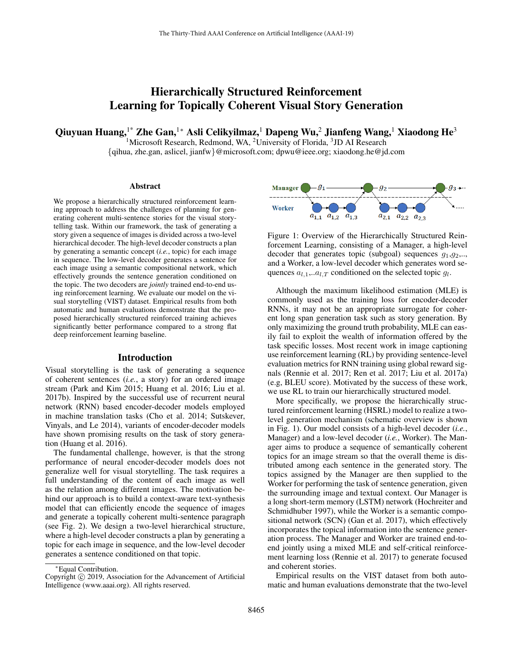# Hierarchically Structured Reinforcement Learning for Topically Coherent Visual Story Generation

Qiuyuan Huang,<sup>1\*</sup> Zhe Gan,<sup>1\*</sup> Asli Celikyilmaz,<sup>1</sup> Dapeng Wu,<sup>2</sup> Jianfeng Wang,<sup>1</sup> Xiaodong He<sup>3</sup>

<sup>1</sup>Microsoft Research, Redmond, WA, <sup>2</sup>University of Florida, <sup>3</sup>JD AI Research {qihua, zhe.gan, aslicel, jianfw}@microsoft.com; dpwu@ieee.org; xiaodong.he@jd.com

#### Abstract

We propose a hierarchically structured reinforcement learning approach to address the challenges of planning for generating coherent multi-sentence stories for the visual storytelling task. Within our framework, the task of generating a story given a sequence of images is divided across a two-level hierarchical decoder. The high-level decoder constructs a plan by generating a semantic concept (*i.e.*, topic) for each image in sequence. The low-level decoder generates a sentence for each image using a semantic compositional network, which effectively grounds the sentence generation conditioned on the topic. The two decoders are *jointly* trained end-to-end using reinforcement learning. We evaluate our model on the visual storytelling (VIST) dataset. Empirical results from both automatic and human evaluations demonstrate that the proposed hierarchically structured reinforced training achieves significantly better performance compared to a strong flat deep reinforcement learning baseline.

#### Introduction

Visual storytelling is the task of generating a sequence of coherent sentences (*i.e.*, a story) for an ordered image stream (Park and Kim 2015; Huang et al. 2016; Liu et al. 2017b). Inspired by the successful use of recurrent neural network (RNN) based encoder-decoder models employed in machine translation tasks (Cho et al. 2014; Sutskever, Vinyals, and Le 2014), variants of encoder-decoder models have shown promising results on the task of story generation (Huang et al. 2016).

The fundamental challenge, however, is that the strong performance of neural encoder-decoder models does not generalize well for visual storytelling. The task requires a full understanding of the content of each image as well as the relation among different images. The motivation behind our approach is to build a context-aware text-synthesis model that can efficiently encode the sequence of images and generate a topically coherent multi-sentence paragraph (see Fig. 2). We design a two-level hierarchical structure, where a high-level decoder constructs a plan by generating a topic for each image in sequence, and the low-level decoder generates a sentence conditioned on that topic.



Figure 1: Overview of the Hierarchically Structured Reinforcement Learning, consisting of a Manager, a high-level decoder that generates topic (subgoal) sequences  $g_1, g_2, \ldots$ and a Worker, a low-level decoder which generates word sequences  $a_{l,1}...a_{l,T}$  conditioned on the selected topic  $g_l$ .

Although the maximum likelihood estimation (MLE) is commonly used as the training loss for encoder-decoder RNNs, it may not be an appropriate surrogate for coherent long span generation task such as story generation. By only maximizing the ground truth probability, MLE can easily fail to exploit the wealth of information offered by the task specific losses. Most recent work in image captioning use reinforcement learning (RL) by providing sentence-level evaluation metrics for RNN training using global reward signals (Rennie et al. 2017; Ren et al. 2017; Liu et al. 2017a) (e.g, BLEU score). Motivated by the success of these work, we use RL to train our hierarchically structured model.

More specifically, we propose the hierarchically structured reinforcement learning (HSRL) model to realize a twolevel generation mechanism (schematic overview is shown in Fig. 1). Our model consists of a high-level decoder (*i.e.*, Manager) and a low-level decoder (*i.e.*, Worker). The Manager aims to produce a sequence of semantically coherent topics for an image stream so that the overall theme is distributed among each sentence in the generated story. The topics assigned by the Manager are then supplied to the Worker for performing the task of sentence generation, given the surrounding image and textual context. Our Manager is a long short-term memory (LSTM) network (Hochreiter and Schmidhuber 1997), while the Worker is a semantic compositional network (SCN) (Gan et al. 2017), which effectively incorporates the topical information into the sentence generation process. The Manager and Worker are trained end-toend jointly using a mixed MLE and self-critical reinforcement learning loss (Rennie et al. 2017) to generate focused and coherent stories.

Empirical results on the VIST dataset from both automatic and human evaluations demonstrate that the two-level

<sup>∗</sup>Equal Contribution.

Copyright © 2019, Association for the Advancement of Artificial Intelligence (www.aaai.org). All rights reserved.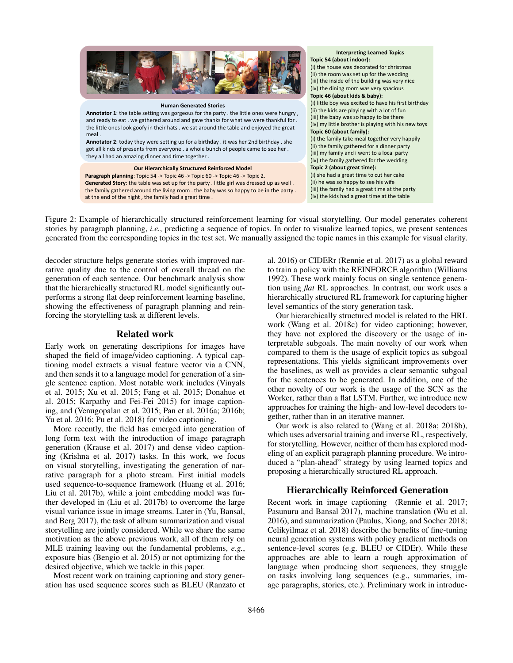

at the end of the night , the family had a great time .

#### **Interpreting Learned Topics Topic 54 (about indoor):** (i) the house was decorated for christmas (ii) the room was set up for the wedding (iii) the inside of the building was very nice (iv) the dining room was very spacious **Topic 46 (about kids & baby):** (i) little boy was excited to have his first birthday (ii) the kids are playing with a lot of fun (iii) the baby was so happy to be there (iv) my little brother is playing with his new toys **Topic 60 (about family):** (i) the family take meal together very happily (ii) the family gathered for a dinner party (iii) my family and i went to a local party (iv) the family gathered for the wedding **Topic 2 (about great time):** (i) she had a great time to cut her cake (ii) he was so happy to see his wife (iii) the family had a great time at the party (iv) the kids had a great time at the table

Figure 2: Example of hierarchically structured reinforcement learning for visual storytelling. Our model generates coherent stories by paragraph planning, *i.e.*, predicting a sequence of topics. In order to visualize learned topics, we present sentences generated from the corresponding topics in the test set. We manually assigned the topic names in this example for visual clarity.

decoder structure helps generate stories with improved narrative quality due to the control of overall thread on the generation of each sentence. Our benchmark analysis show that the hierarchically structured RL model significantly outperforms a strong flat deep reinforcement learning baseline, showing the effectiveness of paragraph planning and reinforcing the storytelling task at different levels.

## Related work

Early work on generating descriptions for images have shaped the field of image/video captioning. A typical captioning model extracts a visual feature vector via a CNN, and then sends it to a language model for generation of a single sentence caption. Most notable work includes (Vinyals et al. 2015; Xu et al. 2015; Fang et al. 2015; Donahue et al. 2015; Karpathy and Fei-Fei 2015) for image captioning, and (Venugopalan et al. 2015; Pan et al. 2016a; 2016b; Yu et al. 2016; Pu et al. 2018) for video captioning.

More recently, the field has emerged into generation of long form text with the introduction of image paragraph generation (Krause et al. 2017) and dense video captioning (Krishna et al. 2017) tasks. In this work, we focus on visual storytelling, investigating the generation of narrative paragraph for a photo stream. First initial models used sequence-to-sequence framework (Huang et al. 2016; Liu et al. 2017b), while a joint embedding model was further developed in (Liu et al. 2017b) to overcome the large visual variance issue in image streams. Later in (Yu, Bansal, and Berg 2017), the task of album summarization and visual storytelling are jointly considered. While we share the same motivation as the above previous work, all of them rely on MLE training leaving out the fundamental problems, *e.g.*, exposure bias (Bengio et al. 2015) or not optimizing for the desired objective, which we tackle in this paper.

Most recent work on training captioning and story generation has used sequence scores such as BLEU (Ranzato et al. 2016) or CIDERr (Rennie et al. 2017) as a global reward to train a policy with the REINFORCE algorithm (Williams 1992). These work mainly focus on single sentence generation using *flat* RL approaches. In contrast, our work uses a hierarchically structured RL framework for capturing higher level semantics of the story generation task.

Our hierarchically structured model is related to the HRL work (Wang et al. 2018c) for video captioning; however, they have not explored the discovery or the usage of interpretable subgoals. The main novelty of our work when compared to them is the usage of explicit topics as subgoal representations. This yields significant improvements over the baselines, as well as provides a clear semantic subgoal for the sentences to be generated. In addition, one of the other novelty of our work is the usage of the SCN as the Worker, rather than a flat LSTM. Further, we introduce new approaches for training the high- and low-level decoders together, rather than in an iterative manner.

Our work is also related to (Wang et al. 2018a; 2018b), which uses adversarial training and inverse RL, respectively, for storytelling. However, neither of them has explored modeling of an explicit paragraph planning procedure. We introduced a "plan-ahead" strategy by using learned topics and proposing a hierarchically structured RL approach.

## Hierarchically Reinforced Generation

Recent work in image captioning (Rennie et al. 2017; Pasunuru and Bansal 2017), machine translation (Wu et al. 2016), and summarization (Paulus, Xiong, and Socher 2018; Celikyilmaz et al. 2018) describe the benefits of fine-tuning neural generation systems with policy gradient methods on sentence-level scores (e.g. BLEU or CIDEr). While these approaches are able to learn a rough approximation of language when producing short sequences, they struggle on tasks involving long sequences (e.g., summaries, image paragraphs, stories, etc.). Preliminary work in introduc-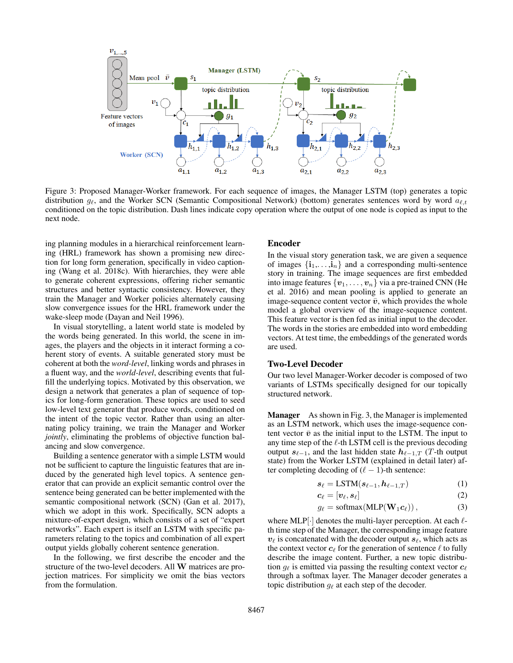

Figure 3: Proposed Manager-Worker framework. For each sequence of images, the Manager LSTM (top) generates a topic distribution  $g_\ell$ , and the Worker SCN (Semantic Compositional Network) (bottom) generates sentences word by word  $a_{\ell,t}$ conditioned on the topic distribution. Dash lines indicate copy operation where the output of one node is copied as input to the next node.

ing planning modules in a hierarchical reinforcement learning (HRL) framework has shown a promising new direction for long form generation, specifically in video captioning (Wang et al. 2018c). With hierarchies, they were able to generate coherent expressions, offering richer semantic structures and better syntactic consistency. However, they train the Manager and Worker policies alternately causing slow convergence issues for the HRL framework under the wake-sleep mode (Dayan and Neil 1996).

In visual storytelling, a latent world state is modeled by the words being generated. In this world, the scene in images, the players and the objects in it interact forming a coherent story of events. A suitable generated story must be coherent at both the *word-level*, linking words and phrases in a fluent way, and the *world-level*, describing events that fulfill the underlying topics. Motivated by this observation, we design a network that generates a plan of sequence of topics for long-form generation. These topics are used to seed low-level text generator that produce words, conditioned on the intent of the topic vector. Rather than using an alternating policy training, we train the Manager and Worker *jointly*, eliminating the problems of objective function balancing and slow convergence.

Building a sentence generator with a simple LSTM would not be sufficient to capture the linguistic features that are induced by the generated high level topics. A sentence generator that can provide an explicit semantic control over the sentence being generated can be better implemented with the semantic compositional network (SCN) (Gan et al. 2017), which we adopt in this work. Specifically, SCN adopts a mixture-of-expert design, which consists of a set of "expert networks". Each expert is itself an LSTM with specific parameters relating to the topics and combination of all expert output yields globally coherent sentence generation.

In the following, we first describe the encoder and the structure of the two-level decoders. All W matrices are projection matrices. For simplicity we omit the bias vectors from the formulation.

#### Encoder

In the visual story generation task, we are given a sequence of images  $\{i_1, \ldots, i_n\}$  and a corresponding multi-sentence story in training. The image sequences are first embedded into image features  $\{v_1, \ldots, v_n\}$  via a pre-trained CNN (He et al. 2016) and mean pooling is applied to generate an image-sequence content vector  $\bar{v}$ , which provides the whole model a global overview of the image-sequence content. This feature vector is then fed as initial input to the decoder. The words in the stories are embedded into word embedding vectors. At test time, the embeddings of the generated words are used.

#### Two-Level Decoder

Our two level Manager-Worker decoder is composed of two variants of LSTMs specifically designed for our topically structured network.

Manager As shown in Fig. 3, the Manager is implemented as an LSTM network, which uses the image-sequence content vector  $\bar{v}$  as the initial input to the LSTM. The input to any time step of the  $\ell$ -th LSTM cell is the previous decoding output  $s_{\ell-1}$ , and the last hidden state  $h_{\ell-1,T}$  (T-th output state) from the Worker LSTM (explained in detail later) after completing decoding of  $(\ell - 1)$ -th sentence:

$$
s_{\ell} = \text{LSTM}(s_{\ell-1}, h_{\ell-1,T}) \tag{1}
$$

$$
\boldsymbol{c}_{\ell} = [\boldsymbol{v}_{\ell}, \boldsymbol{s}_{\ell}] \tag{2}
$$

$$
g_{\ell} = \text{softmax}(\text{MLP}(\mathbf{W}_1 \mathbf{c}_{\ell}))\,,\tag{3}
$$

where MLP $\cdot$  denotes the multi-layer perception. At each  $\ell$ th time step of the Manager, the corresponding image feature  $v_{\ell}$  is concatenated with the decoder output  $s_{\ell}$ , which acts as the context vector  $c_\ell$  for the generation of sentence  $\ell$  to fully describe the image content. Further, a new topic distribution  $g_{\ell}$  is emitted via passing the resulting context vector  $c_{\ell}$ through a softmax layer. The Manager decoder generates a topic distribution  $g_{\ell}$  at each step of the decoder.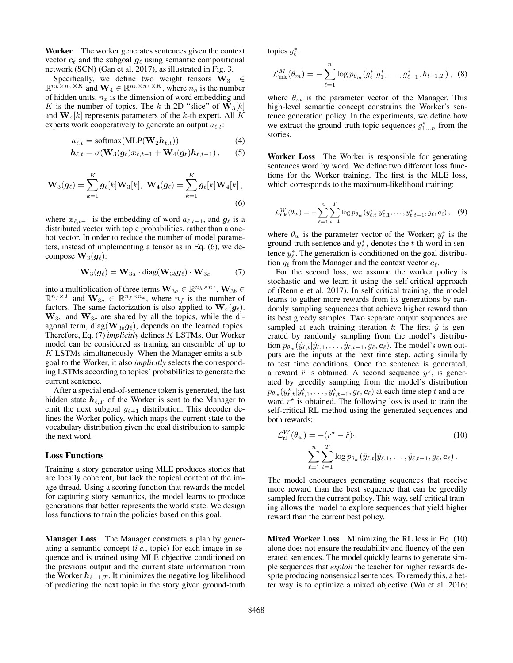Worker The worker generates sentences given the context vector  $c_\ell$  and the subgoal  $g_\ell$  using semantic compositional network (SCN) (Gan et al. 2017), as illustrated in Fig. 3.

Specifically, we define two weight tensors  $W_3 \in$  $\mathbb{R}^{n_h \times n_x \times K}$  and  $\mathbf{W}_4 \in \mathbb{R}^{n_h \times n_h \times K}$ , where  $n_h$  is the number of hidden units,  $n_x$  is the dimension of word embedding and K is the number of topics. The k-th 2D "slice" of  $\mathbf{W}_3[k]$ and  $\mathbf{W}_4[k]$  represents parameters of the k-th expert. All K experts work cooperatively to generate an output  $a_{\ell,t}$ :

$$
a_{\ell,t} = \text{softmax}(\text{MLP}(\mathbf{W}_2 \boldsymbol{h}_{\ell,t}))
$$
(4)

$$
\boldsymbol{h}_{\ell,t} = \sigma(\mathbf{W}_3(\boldsymbol{g}_{\ell})\boldsymbol{x}_{\ell,t-1} + \mathbf{W}_4(\boldsymbol{g}_{\ell})\boldsymbol{h}_{\ell,t-1}), \qquad (5)
$$

$$
\mathbf{W}_{3}(\boldsymbol{g}_{\ell}) = \sum_{k=1}^{K} \boldsymbol{g}_{\ell}[k] \mathbf{W}_{3}[k], \ \mathbf{W}_{4}(\boldsymbol{g}_{\ell}) = \sum_{k=1}^{K} \boldsymbol{g}_{\ell}[k] \mathbf{W}_{4}[k], \tag{6}
$$

where  $x_{\ell,t-1}$  is the embedding of word  $a_{\ell,t-1}$ , and  $g_{\ell}$  is a distributed vector with topic probabilities, rather than a onehot vector. In order to reduce the number of model parameters, instead of implementing a tensor as in Eq. (6), we decompose  $\mathbf{W}_3(\mathbf{g}_\ell)$ :

$$
\mathbf{W}_3(\boldsymbol{g}_{\ell}) = \mathbf{W}_{3a} \cdot \text{diag}(\mathbf{W}_{3b}\boldsymbol{g}_{\ell}) \cdot \mathbf{W}_{3c} \tag{7}
$$

into a multiplication of three terms  $\mathbf{W}_{3a} \in \mathbb{R}^{n_h \times n_f}$ ,  $\mathbf{W}_{3b} \in$  $\mathbb{R}^{n_f \times T}$  and  $\mathbf{W}_{3c} \in \mathbb{R}^{n_f \times n_x}$ , where  $n_f$  is the number of factors. The same factorization is also applied to  $\mathbf{W}_4(\mathbf{g}_\ell)$ .  $W_{3a}$  and  $W_{3c}$  are shared by all the topics, while the diagonal term, diag( $\mathbf{W}_{3b}\mathbf{g}_{\ell}$ ), depends on the learned topics. Therefore, Eq. (7) *implicitly* defines K LSTMs. Our Worker model can be considered as training an ensemble of up to  $K$  LSTMs simultaneously. When the Manager emits a subgoal to the Worker, it also *implicitly* selects the corresponding LSTMs according to topics' probabilities to generate the current sentence.

After a special end-of-sentence token is generated, the last hidden state  $h_{\ell,T}$  of the Worker is sent to the Manager to emit the next subgoal  $g_{\ell+1}$  distribution. This decoder defines the Worker policy, which maps the current state to the vocabulary distribution given the goal distribution to sample the next word.

### Loss Functions

Training a story generator using MLE produces stories that are locally coherent, but lack the topical content of the image thread. Using a scoring function that rewards the model for capturing story semantics, the model learns to produce generations that better represents the world state. We design loss functions to train the policies based on this goal.

Manager Loss The Manager constructs a plan by generating a semantic concept (*i.e.*, topic) for each image in sequence and is trained using MLE objective conditioned on the previous output and the current state information from the Worker  $h_{\ell-1,T}$ . It minimizes the negative log likelihood of predicting the next topic in the story given ground-truth topics  $g_{\ell}^*$ :

$$
\mathcal{L}_{\text{mle}}^{M}(\theta_{m}) = -\sum_{\ell=1}^{n} \log p_{\theta_{m}}(g_{\ell}^{*}|g_{1}^{*},\ldots,g_{\ell-1}^{*},h_{l-1,T}), \quad (8)
$$

where  $\theta_m$  is the parameter vector of the Manager. This high-level semantic concept constrains the Worker's sentence generation policy. In the experiments, we define how we extract the ground-truth topic sequences  $g_{1...n}^*$  from the stories.

Worker Loss The Worker is responsible for generating sentences word by word. We define two different loss functions for the Worker training. The first is the MLE loss, which corresponds to the maximum-likelihood training:

$$
\mathcal{L}_{\text{mle}}^W(\theta_w) = -\sum_{\ell=1}^n \sum_{t=1}^T \log p_{\theta_w}(y_{\ell,t}^* | y_{\ell,1}^*, \dots, y_{\ell,t-1}^*, g_\ell, \mathbf{c}_\ell), \quad (9)
$$

where  $\theta_w$  is the parameter vector of the Worker;  $y_\ell^*$  is the ground-truth sentence and  $y_{\ell,t}^*$  denotes the t-th word in sentence  $y_{\ell}^*$ . The generation is conditioned on the goal distribution  $g_\ell$  from the Manager and the context vector  $c_\ell$ .

For the second loss, we assume the worker policy is stochastic and we learn it using the self-critical approach of (Rennie et al. 2017). In self critical training, the model learns to gather more rewards from its generations by randomly sampling sequences that achieve higher reward than its best greedy samples. Two separate output sequences are sampled at each training iteration t: The first  $\hat{y}$  is generated by randomly sampling from the model's distribution  $p_{\theta_w}(\hat{y}_{\ell,t}|\hat{y}_{\ell,1}, \ldots, \hat{y}_{\ell,t-1}, g_\ell, c_\ell)$ . The model's own outputs are the inputs at the next time step, acting similarly to test time conditions. Once the sentence is generated, a reward  $\hat{r}$  is obtained. A second sequence  $y^*$ , is generated by greedily sampling from the model's distribution  $p_{\theta_w}(y_{\ell,t}^\star | y_{\ell,1}^\star, \ldots, y_{\ell,t-1}^\star, g_\ell, \boldsymbol{c}_\ell)$  at each time step  $t$  and a reward  $r^*$  is obtained. The following loss is used to train the self-critical RL method using the generated sequences and both rewards:

$$
\mathcal{L}_{\mathrm{rl}}^{W}(\theta_{w}) = -(r^{\star} - \hat{r}) \tag{10}
$$
\n
$$
\sum_{\ell=1}^{n} \sum_{t=1}^{T} \log p_{\theta_{w}}(\hat{y}_{\ell,t} | \hat{y}_{\ell,1}, \dots, \hat{y}_{\ell,t-1}, g_{\ell}, \mathbf{c}_{\ell}).
$$

The model encourages generating sequences that receive more reward than the best sequence that can be greedily sampled from the current policy. This way, self-critical training allows the model to explore sequences that yield higher reward than the current best policy.

Mixed Worker Loss Minimizing the RL loss in Eq. (10) alone does not ensure the readability and fluency of the generated sentences. The model quickly learns to generate simple sequences that *exploit* the teacher for higher rewards despite producing nonsensical sentences. To remedy this, a better way is to optimize a mixed objective (Wu et al. 2016;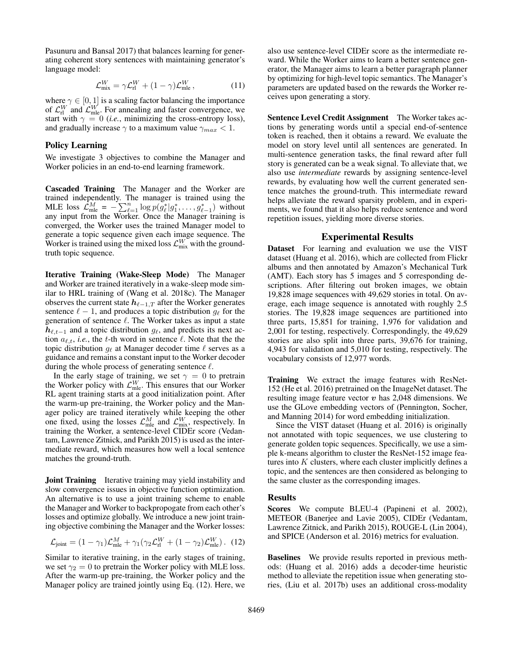Pasunuru and Bansal 2017) that balances learning for generating coherent story sentences with maintaining generator's language model:

$$
\mathcal{L}_{\text{mix}}^W = \gamma \mathcal{L}_{\text{rl}}^W + (1 - \gamma) \mathcal{L}_{\text{mle}}^W, \qquad (11)
$$

where  $\gamma \in [0, 1]$  is a scaling factor balancing the importance of  $\mathcal{L}_{\text{rl}}^W$  and  $\mathcal{L}_{\text{mle}}^W$ . For annealing and faster convergence, we start with  $\gamma = 0$  (*i.e.*, minimizing the cross-entropy loss), and gradually increase  $\gamma$  to a maximum value  $\gamma_{max} < 1$ .

#### Policy Learning

We investigate 3 objectives to combine the Manager and Worker policies in an end-to-end learning framework.

Cascaded Training The Manager and the Worker are trained independently. The manager is trained using the MLE loss  $\mathcal{L}_{\text{mle}}^M = -\sum_{\ell=1}^n \log p(\breve{g}_{\ell}^* | g_1^*, \dots, g_{\ell-1}^*)$  without any input from the Worker. Once the Manager training is converged, the Worker uses the trained Manager model to generate a topic sequence given each image sequence. The Worker is trained using the mixed loss  $\mathcal{L}_{\text{mix}}^W$  with the groundtruth topic sequence.

Iterative Training (Wake-Sleep Mode) The Manager and Worker are trained iteratively in a wake-sleep mode similar to HRL training of (Wang et al. 2018c). The Manager observes the current state  $h_{\ell-1,T}$  after the Worker generates sentence  $\ell - 1$ , and produces a topic distribution  $g_{\ell}$  for the generation of sentence  $\ell$ . The Worker takes as input a state  $h_{\ell,t-1}$  and a topic distribution  $g_{\ell}$ , and predicts its next action  $a_{\ell,t}$ , *i.e.*, the t-th word in sentence  $\ell$ . Note that the the topic distribution  $g_{\ell}$  at Manager decoder time  $\ell$  serves as a guidance and remains a constant input to the Worker decoder during the whole process of generating sentence  $\ell$ .

In the early stage of training, we set  $\gamma = 0$  to pretrain the Worker policy with  $\mathcal{L}_{\text{mle}}^W$ . This ensures that our Worker RL agent training starts at a good initialization point. After the warm-up pre-training, the Worker policy and the Manager policy are trained iteratively while keeping the other one fixed, using the losses  $\mathcal{L}_{\text{mle}}^M$  and  $\mathcal{L}_{\text{mix}}^W$ , respectively. In training the Worker, a sentence-level CIDEr score (Vedantam, Lawrence Zitnick, and Parikh 2015) is used as the intermediate reward, which measures how well a local sentence matches the ground-truth.

**Joint Training** Iterative training may yield instability and slow convergence issues in objective function optimization. An alternative is to use a joint training scheme to enable the Manager and Worker to backpropogate from each other's losses and optimize globally. We introduce a new joint training objective combining the Manager and the Worker losses:

$$
\mathcal{L}_{\text{joint}} = (1 - \gamma_1)\mathcal{L}_{\text{mle}}^M + \gamma_1(\gamma_2 \mathcal{L}_{\text{rl}}^W + (1 - \gamma_2)\mathcal{L}_{\text{mle}}^W). (12)
$$

Similar to iterative training, in the early stages of training, we set  $\gamma_2 = 0$  to pretrain the Worker policy with MLE loss. After the warm-up pre-training, the Worker policy and the Manager policy are trained jointly using Eq. (12). Here, we also use sentence-level CIDEr score as the intermediate reward. While the Worker aims to learn a better sentence generator, the Manager aims to learn a better paragraph planner by optimizing for high-level topic semantics. The Manager's parameters are updated based on the rewards the Worker receives upon generating a story.

Sentence Level Credit Assignment The Worker takes actions by generating words until a special end-of-sentence token is reached, then it obtains a reward. We evaluate the model on story level until all sentences are generated. In multi-sentence generation tasks, the final reward after full story is generated can be a weak signal. To alleviate that, we also use *intermediate* rewards by assigning sentence-level rewards, by evaluating how well the current generated sentence matches the ground-truth. This intermediate reward helps alleviate the reward sparsity problem, and in experiments, we found that it also helps reduce sentence and word repetition issues, yielding more diverse stories.

#### Experimental Results

Dataset For learning and evaluation we use the VIST dataset (Huang et al. 2016), which are collected from Flickr albums and then annotated by Amazon's Mechanical Turk (AMT). Each story has 5 images and 5 corresponding descriptions. After filtering out broken images, we obtain 19,828 image sequences with 49,629 stories in total. On average, each image sequence is annotated with roughly 2.5 stories. The 19,828 image sequences are partitioned into three parts, 15,851 for training, 1,976 for validation and 2,001 for testing, respectively. Correspondingly, the 49,629 stories are also split into three parts, 39,676 for training, 4,943 for validation and 5,010 for testing, respectively. The vocabulary consists of 12,977 words.

Training We extract the image features with ResNet-152 (He et al. 2016) pretrained on the ImageNet dataset. The resulting image feature vector  $v$  has 2,048 dimensions. We use the GLove embedding vectors of (Pennington, Socher, and Manning 2014) for word embedding initialization.

Since the VIST dataset (Huang et al. 2016) is originally not annotated with topic sequences, we use clustering to generate golden topic sequences. Specifically, we use a simple k-means algorithm to cluster the ResNet-152 image features into  $K$  clusters, where each cluster implicitly defines a topic, and the sentences are then considered as belonging to the same cluster as the corresponding images.

#### Results

Scores We compute BLEU-4 (Papineni et al. 2002), METEOR (Banerjee and Lavie 2005), CIDEr (Vedantam, Lawrence Zitnick, and Parikh 2015), ROUGE-L (Lin 2004), and SPICE (Anderson et al. 2016) metrics for evaluation.

Baselines We provide results reported in previous methods: (Huang et al. 2016) adds a decoder-time heuristic method to alleviate the repetition issue when generating stories, (Liu et al. 2017b) uses an additional cross-modality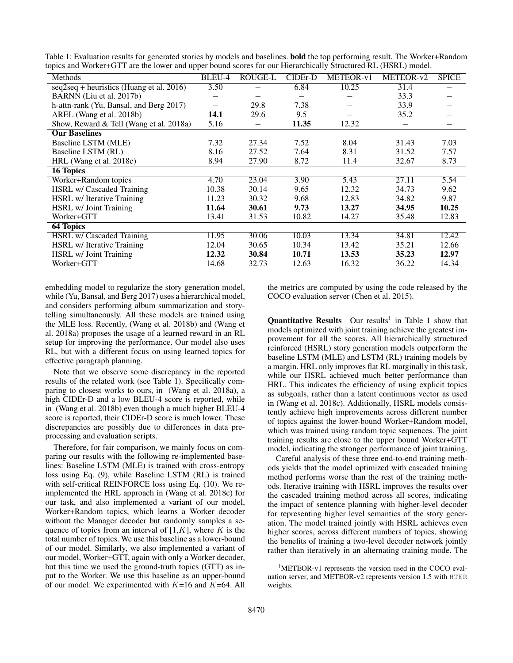| Methods                                    | BLEU-4                   | ROUGE-L | CIDEr-D | METEOR-v1 | METEOR-v2 | <b>SPICE</b> |  |  |  |
|--------------------------------------------|--------------------------|---------|---------|-----------|-----------|--------------|--|--|--|
| $seq2seq + heuristics$ (Huang et al. 2016) | 3.50                     |         | 6.84    | 10.25     | 31.4      |              |  |  |  |
| BARNN (Liu et al. 2017b)                   |                          |         |         |           | 33.3      |              |  |  |  |
| h-attn-rank (Yu, Bansal, and Berg 2017)    | $\overline{\phantom{0}}$ | 29.8    | 7.38    |           | 33.9      |              |  |  |  |
| AREL (Wang et al. 2018b)                   | 14.1                     | 29.6    | 9.5     |           | 35.2      |              |  |  |  |
| Show, Reward & Tell (Wang et al. 2018a)    | 5.16                     |         | 11.35   | 12.32     |           |              |  |  |  |
| <b>Our Baselines</b>                       |                          |         |         |           |           |              |  |  |  |
| Baseline LSTM (MLE)                        | 7.32                     | 27.34   | 7.52    | 8.04      | 31.43     | 7.03         |  |  |  |
| Baseline LSTM (RL)                         | 8.16                     | 27.52   | 7.64    | 8.31      | 31.52     | 7.57         |  |  |  |
| HRL (Wang et al. 2018c)                    | 8.94                     | 27.90   | 8.72    | 11.4      | 32.67     | 8.73         |  |  |  |
| 16 Topics                                  |                          |         |         |           |           |              |  |  |  |
| Worker+Random topics                       | 4.70                     | 23.04   | 3.90    | 5.43      | 27.11     | 5.54         |  |  |  |
| HSRL w/ Cascaded Training                  | 10.38                    | 30.14   | 9.65    | 12.32     | 34.73     | 9.62         |  |  |  |
| HSRL w/ Iterative Training                 | 11.23                    | 30.32   | 9.68    | 12.83     | 34.82     | 9.87         |  |  |  |
| HSRL w/ Joint Training                     | 11.64                    | 30.61   | 9.73    | 13.27     | 34.95     | 10.25        |  |  |  |
| Worker+GTT                                 | 13.41                    | 31.53   | 10.82   | 14.27     | 35.48     | 12.83        |  |  |  |
| <b>64 Topics</b>                           |                          |         |         |           |           |              |  |  |  |
| <b>HSRL</b> w/ Cascaded Training           | 11.95                    | 30.06   | 10.03   | 13.34     | 34.81     | 12.42        |  |  |  |
| HSRL w/ Iterative Training                 | 12.04                    | 30.65   | 10.34   | 13.42     | 35.21     | 12.66        |  |  |  |
| HSRL w/ Joint Training                     | 12.32                    | 30.84   | 10.71   | 13.53     | 35.23     | 12.97        |  |  |  |
| Worker+GTT                                 | 14.68                    | 32.73   | 12.63   | 16.32     | 36.22     | 14.34        |  |  |  |
|                                            |                          |         |         |           |           |              |  |  |  |

Table 1: Evaluation results for generated stories by models and baselines. bold the top performing result. The Worker+Random topics and Worker+GTT are the lower and upper bound scores for our Hierarchically Structured RL (HSRL) model.

embedding model to regularize the story generation model, while (Yu, Bansal, and Berg 2017) uses a hierarchical model, and considers performing album summarization and storytelling simultaneously. All these models are trained using the MLE loss. Recently, (Wang et al. 2018b) and (Wang et al. 2018a) proposes the usage of a learned reward in an RL setup for improving the performance. Our model also uses RL, but with a different focus on using learned topics for effective paragraph planning.

Note that we observe some discrepancy in the reported results of the related work (see Table 1). Specifically comparing to closest works to ours, in (Wang et al. 2018a), a high CIDEr-D and a low BLEU-4 score is reported, while in (Wang et al. 2018b) even though a much higher BLEU-4 score is reported, their CIDEr-D score is much lower. These discrepancies are possibly due to differences in data preprocessing and evaluation scripts.

Therefore, for fair comparison, we mainly focus on comparing our results with the following re-implemented baselines: Baseline LSTM (MLE) is trained with cross-entropy loss using Eq. (9), while Baseline LSTM (RL) is trained with self-critical REINFORCE loss using Eq. (10). We reimplemented the HRL approach in (Wang et al. 2018c) for our task, and also implemented a variant of our model, Worker+Random topics, which learns a Worker decoder without the Manager decoder but randomly samples a sequence of topics from an interval of  $[1, K]$ , where K is the total number of topics. We use this baseline as a lower-bound of our model. Similarly, we also implemented a variant of our model, Worker+GTT, again with only a Worker decoder, but this time we used the ground-truth topics (GTT) as input to the Worker. We use this baseline as an upper-bound of our model. We experimented with  $K=16$  and  $K=64$ . All

Careful analysis of these three end-to-end training methods yields that the model optimized with cascaded training method performs worse than the rest of the training methods. Iterative training with HSRL improves the results over the cascaded training method across all scores, indicating the impact of sentence planning with higher-level decoder for representing higher level semantics of the story gener-

the metrics are computed by using the code released by the

**Quantitative Results** Our results<sup>1</sup> in Table 1 show that models optimized with joint training achieve the greatest improvement for all the scores. All hierarchically structured reinforced (HSRL) story generation models outperform the baseline LSTM (MLE) and LSTM (RL) training models by a margin. HRL only improves flat RL marginally in this task, while our HSRL achieved much better performance than HRL. This indicates the efficiency of using explicit topics as subgoals, rather than a latent continuous vector as used in (Wang et al. 2018c). Additionally, HSRL models consistently achieve high improvements across different number of topics against the lower-bound Worker+Random model, which was trained using random topic sequences. The joint training results are close to the upper bound Worker+GTT model, indicating the stronger performance of joint training.

COCO evaluation server (Chen et al. 2015).

ation. The model trained jointly with HSRL achieves even higher scores, across different numbers of topics, showing the benefits of training a two-level decoder network jointly rather than iteratively in an alternating training mode. The

<sup>&</sup>lt;sup>1</sup>METEOR-v1 represents the version used in the COCO evaluation server, and METEOR-v2 represents version 1.5 with HTER weights.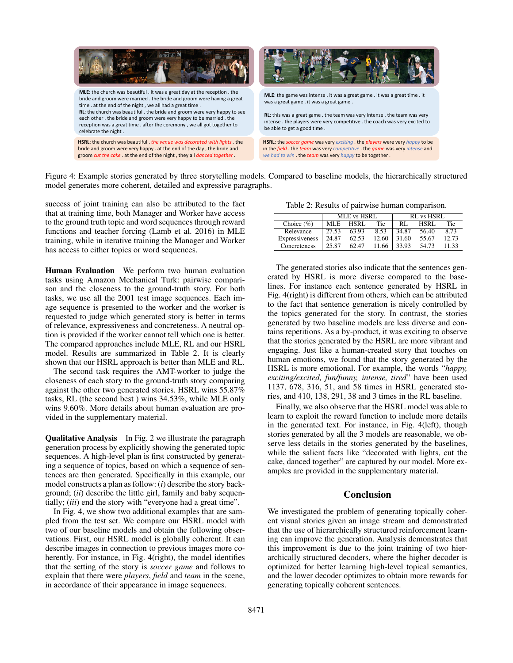

Figure 4: Example stories generated by three storytelling models. Compared to baseline models, the hierarchically structured model generates more coherent, detailed and expressive paragraphs.

success of joint training can also be attributed to the fact that at training time, both Manager and Worker have access to the ground truth topic and word sequences through reward functions and teacher forcing (Lamb et al. 2016) in MLE training, while in iterative training the Manager and Worker has access to either topics or word sequences.

Human Evaluation We perform two human evaluation tasks using Amazon Mechanical Turk: pairwise comparison and the closeness to the ground-truth story. For both tasks, we use all the 2001 test image sequences. Each image sequence is presented to the worker and the worker is requested to judge which generated story is better in terms of relevance, expressiveness and concreteness. A neutral option is provided if the worker cannot tell which one is better. The compared approaches include MLE, RL and our HSRL model. Results are summarized in Table 2. It is clearly shown that our HSRL approach is better than MLE and RL.

The second task requires the AMT-worker to judge the closeness of each story to the ground-truth story comparing against the other two generated stories. HSRL wins 55.87% tasks, RL (the second best ) wins 34.53%, while MLE only wins 9.60%. More details about human evaluation are provided in the supplementary material.

Qualitative Analysis In Fig. 2 we illustrate the paragraph generation process by explicitly showing the generated topic sequences. A high-level plan is first constructed by generating a sequence of topics, based on which a sequence of sentences are then generated. Specifically in this example, our model constructs a plan as follow: (*i*) describe the story background; (*ii*) describe the little girl, family and baby sequentially; (*iii*) end the story with "everyone had a great time".

In Fig. 4, we show two additional examples that are sampled from the test set. We compare our HSRL model with two of our baseline models and obtain the following observations. First, our HSRL model is globally coherent. It can describe images in connection to previous images more coherently. For instance, in Fig. 4(right), the model identifies that the setting of the story is *soccer game* and follows to explain that there were *players*, *field* and *team* in the scene, in accordance of their appearance in image sequences.

Table 2: Results of pairwise human comparison.

|                | <b>MLE</b> vs HSRL |       |       | <b>RL</b> vs HSRL |             |       |
|----------------|--------------------|-------|-------|-------------------|-------------|-------|
| Choice $(\%)$  | MLE.               | HSRL. | Tie   | RI                | <b>HSRL</b> | Tie   |
| Relevance      | 27.53              | 63.93 | 8.53  | 34.87             | 56.40       | 8.73  |
| Expressiveness | 24.87              | 62.53 | 12.60 | 31.60             | 55.67       | 12.73 |
| Concreteness   | 25.87              | 62.47 | 11.66 | 33.93             | 54.73       | 11.33 |

The generated stories also indicate that the sentences generated by HSRL is more diverse compared to the baselines. For instance each sentence generated by HSRL in Fig. 4(right) is different from others, which can be attributed to the fact that sentence generation is nicely controlled by the topics generated for the story. In contrast, the stories generated by two baseline models are less diverse and contains repetitions. As a by-product, it was exciting to observe that the stories generated by the HSRL are more vibrant and engaging. Just like a human-created story that touches on human emotions, we found that the story generated by the HSRL is more emotional. For example, the words "*happy, exciting/excited, fun/funny, intense, tired*" have been used 1137, 678, 316, 51, and 58 times in HSRL generated stories, and 410, 138, 291, 38 and 3 times in the RL baseline.

Finally, we also observe that the HSRL model was able to learn to exploit the reward function to include more details in the generated text. For instance, in Fig. 4(left), though stories generated by all the 3 models are reasonable, we observe less details in the stories generated by the baselines, while the salient facts like "decorated with lights, cut the cake, danced together" are captured by our model. More examples are provided in the supplementary material.

### Conclusion

We investigated the problem of generating topically coherent visual stories given an image stream and demonstrated that the use of hierarchically structured reinforcement learning can improve the generation. Analysis demonstrates that this improvement is due to the joint training of two hierarchically structured decoders, where the higher decoder is optimized for better learning high-level topical semantics, and the lower decoder optimizes to obtain more rewards for generating topically coherent sentences.